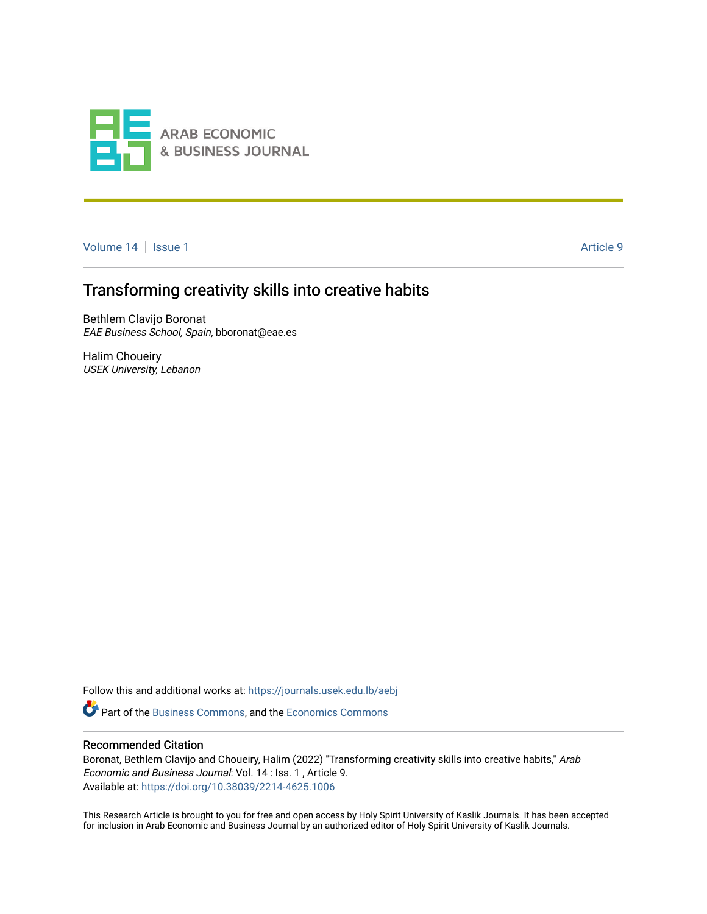

[Volume 14](https://journals.usek.edu.lb/aebj/vol14) | [Issue 1](https://journals.usek.edu.lb/aebj/vol14/iss1) Article 9

# Transforming creativity skills into creative habits

Bethlem Clavijo Boronat EAE Business School, Spain, bboronat@eae.es

Halim Choueiry USEK University, Lebanon

Follow this and additional works at: [https://journals.usek.edu.lb/aebj](https://journals.usek.edu.lb/aebj?utm_source=journals.usek.edu.lb%2Faebj%2Fvol14%2Fiss1%2F9&utm_medium=PDF&utm_campaign=PDFCoverPages) 

**P** Part of the [Business Commons](https://network.bepress.com/hgg/discipline/622?utm_source=journals.usek.edu.lb%2Faebj%2Fvol14%2Fiss1%2F9&utm_medium=PDF&utm_campaign=PDFCoverPages), and the [Economics Commons](https://network.bepress.com/hgg/discipline/340?utm_source=journals.usek.edu.lb%2Faebj%2Fvol14%2Fiss1%2F9&utm_medium=PDF&utm_campaign=PDFCoverPages)

### Recommended Citation

Boronat, Bethlem Clavijo and Choueiry, Halim (2022) "Transforming creativity skills into creative habits," Arab Economic and Business Journal: Vol. 14 : Iss. 1 , Article 9. Available at: <https://doi.org/10.38039/2214-4625.1006>

This Research Article is brought to you for free and open access by Holy Spirit University of Kaslik Journals. It has been accepted for inclusion in Arab Economic and Business Journal by an authorized editor of Holy Spirit University of Kaslik Journals.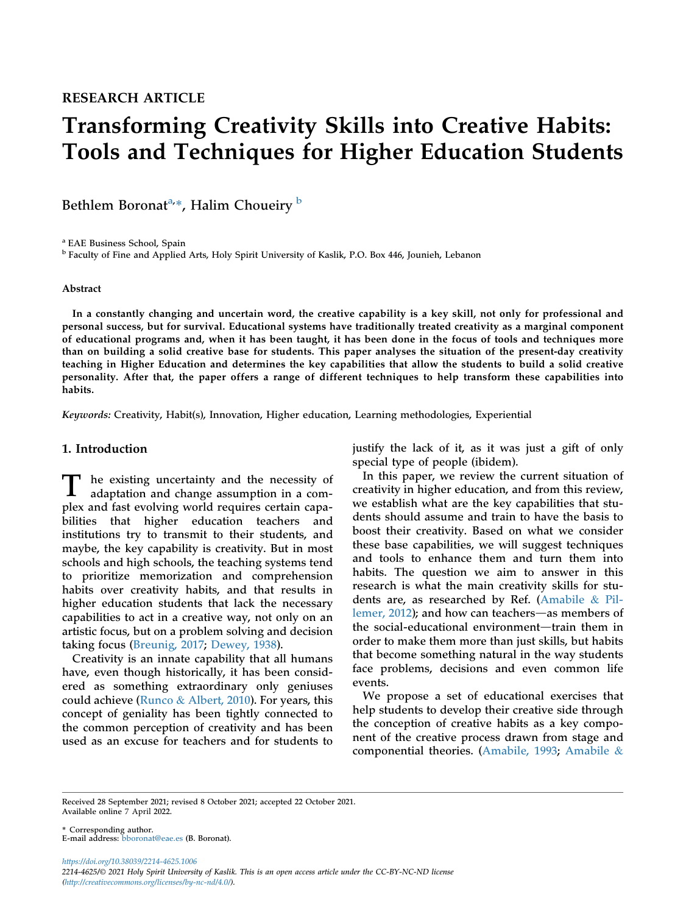# Transforming Creativity Skills into Creative Habits: Tools and Techniques for Higher Education Students

Bethlem Boron[a](#page-1-0)t<sup>a,</sup>\*, Halim Choueiry <sup>[b](#page-1-1)</sup>

<span id="page-1-0"></span><sup>a</sup> EAE Business School, Spain

<span id="page-1-1"></span><sup>b</sup> Faculty of Fine and Applied Arts, Holy Spirit University of Kaslik, P.O. Box 446, Jounieh, Lebanon

#### Abstract

In a constantly changing and uncertain word, the creative capability is a key skill, not only for professional and personal success, but for survival. Educational systems have traditionally treated creativity as a marginal component of educational programs and, when it has been taught, it has been done in the focus of tools and techniques more than on building a solid creative base for students. This paper analyses the situation of the present-day creativity teaching in Higher Education and determines the key capabilities that allow the students to build a solid creative personality. After that, the paper offers a range of different techniques to help transform these capabilities into habits.

Keywords: Creativity, Habit(s), Innovation, Higher education, Learning methodologies, Experiential

# 1. Introduction

T he existing uncertainty and the necessity of adaptation and change assumption in a complex and fast evolving world requires certain capabilities that higher education teachers and institutions try to transmit to their students, and maybe, the key capability is creativity. But in most schools and high schools, the teaching systems tend to prioritize memorization and comprehension habits over creativity habits, and that results in higher education students that lack the necessary capabilities to act in a creative way, not only on an artistic focus, but on a problem solving and decision taking focus ([Breunig, 2017](#page-13-0); [Dewey, 1938](#page-13-1)).

Creativity is an innate capability that all humans have, even though historically, it has been considered as something extraordinary only geniuses could achieve ([Runco](#page-14-0) & [Albert, 2010](#page-14-0)). For years, this concept of geniality has been tightly connected to the common perception of creativity and has been used as an excuse for teachers and for students to justify the lack of it, as it was just a gift of only special type of people (ibidem).

In this paper, we review the current situation of creativity in higher education, and from this review, we establish what are the key capabilities that students should assume and train to have the basis to boost their creativity. Based on what we consider these base capabilities, we will suggest techniques and tools to enhance them and turn them into habits. The question we aim to answer in this research is what the main creativity skills for students are, as researched by Ref. [\(Amabile](#page-13-2) & [Pil](#page-13-2)lemer,  $2012$ ); and how can teachers—as members of the social-educational environment-train them in order to make them more than just skills, but habits that become something natural in the way students face problems, decisions and even common life events.

We propose a set of educational exercises that help students to develop their creative side through the conception of creative habits as a key component of the creative process drawn from stage and componential theories. ([Amabile, 1993](#page-13-3); [Amabile](#page-13-2) &

Received 28 September 2021; revised 8 October 2021; accepted 22 October 2021. Available online 7 April 2022.

\* Corresponding author. E-mail address: [bboronat@eae.es](mailto:bboronat@eae.es) (B. Boronat).

https://doi.org/10.38039/2214-4625.1006 2214-4625/© 2021 Holy Spirit University of Kaslik. This is an open access article under the CC-BY-NC-ND license [\(http://creativecommons.org/licenses/by-nc-nd/4.0/](http://creativecommons.org/licenses/by-nc-nd/4.0/)).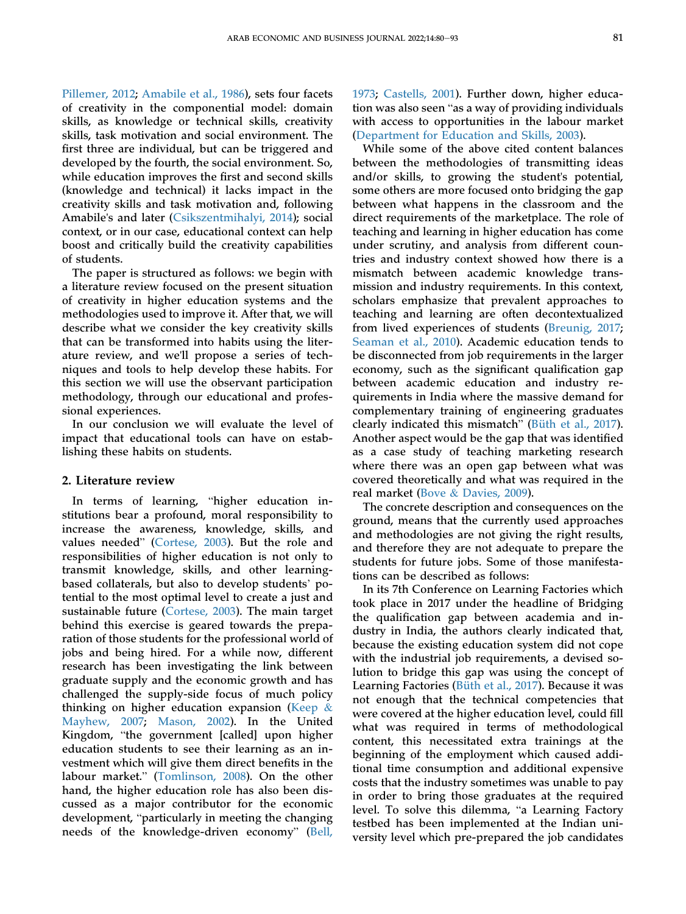[Pillemer, 2012;](#page-13-2) [Amabile et al., 1986](#page-13-4)), sets four facets of creativity in the componential model: domain skills, as knowledge or technical skills, creativity skills, task motivation and social environment. The first three are individual, but can be triggered and developed by the fourth, the social environment. So, while education improves the first and second skills (knowledge and technical) it lacks impact in the creativity skills and task motivation and, following Amabile's and later [\(Csikszentmihalyi, 2014](#page-13-5)); social context, or in our case, educational context can help boost and critically build the creativity capabilities of students.

The paper is structured as follows: we begin with a literature review focused on the present situation of creativity in higher education systems and the methodologies used to improve it. After that, we will describe what we consider the key creativity skills that can be transformed into habits using the literature review, and we'll propose a series of techniques and tools to help develop these habits. For this section we will use the observant participation methodology, through our educational and professional experiences.

In our conclusion we will evaluate the level of impact that educational tools can have on establishing these habits on students.

#### 2. Literature review

In terms of learning, "higher education institutions bear a profound, moral responsibility to increase the awareness, knowledge, skills, and values needed" [\(Cortese, 2003](#page-13-6)). But the role and responsibilities of higher education is not only to transmit knowledge, skills, and other learningbased collaterals, but also to develop students' potential to the most optimal level to create a just and sustainable future ([Cortese, 2003\)](#page-13-6). The main target behind this exercise is geared towards the preparation of those students for the professional world of jobs and being hired. For a while now, different research has been investigating the link between graduate supply and the economic growth and has challenged the supply-side focus of much policy thinking on higher education expansion ([Keep](#page-14-1) & [Mayhew, 2007](#page-14-1); [Mason, 2002\)](#page-14-2). In the United Kingdom, "the government [called] upon higher education students to see their learning as an investment which will give them direct benefits in the labour market." ([Tomlinson, 2008\)](#page-14-3). On the other hand, the higher education role has also been discussed as a major contributor for the economic development, "particularly in meeting the changing needs of the knowledge-driven economy" [\(Bell,](#page-13-7)

[1973](#page-13-7); [Castells, 2001](#page-13-8)). Further down, higher education was also seen "as a way of providing individuals with access to opportunities in the labour market [\(Department for Education and Skills, 2003](#page-13-9)).

While some of the above cited content balances between the methodologies of transmitting ideas and/or skills, to growing the student's potential, some others are more focused onto bridging the gap between what happens in the classroom and the direct requirements of the marketplace. The role of teaching and learning in higher education has come under scrutiny, and analysis from different countries and industry context showed how there is a mismatch between academic knowledge transmission and industry requirements. In this context, scholars emphasize that prevalent approaches to teaching and learning are often decontextualized from lived experiences of students [\(Breunig, 2017;](#page-13-0) [Seaman et al., 2010](#page-14-4)). Academic education tends to be disconnected from job requirements in the larger economy, such as the significant qualification gap between academic education and industry requirements in India where the massive demand for complementary training of engineering graduates clearly indicated this mismatch" ([Büth et al., 2017\)](#page-13-10). Another aspect would be the gap that was identified as a case study of teaching marketing research where there was an open gap between what was covered theoretically and what was required in the real market [\(Bove](#page-13-11) & [Davies, 2009](#page-13-11)).

The concrete description and consequences on the ground, means that the currently used approaches and methodologies are not giving the right results, and therefore they are not adequate to prepare the students for future jobs. Some of those manifestations can be described as follows:

In its 7th Conference on Learning Factories which took place in 2017 under the headline of Bridging the qualification gap between academia and industry in India, the authors clearly indicated that, because the existing education system did not cope with the industrial job requirements, a devised solution to bridge this gap was using the concept of Learning Factories [\(Büth et al., 2017](#page-13-10)). Because it was not enough that the technical competencies that were covered at the higher education level, could fill what was required in terms of methodological content, this necessitated extra trainings at the beginning of the employment which caused additional time consumption and additional expensive costs that the industry sometimes was unable to pay in order to bring those graduates at the required level. To solve this dilemma, "a Learning Factory testbed has been implemented at the Indian university level which pre-prepared the job candidates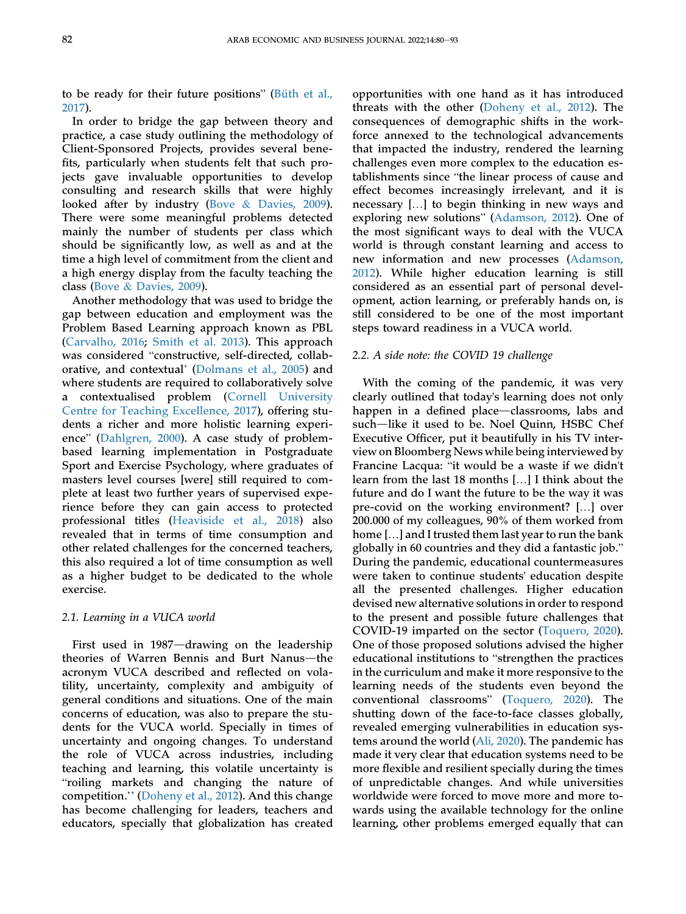to be ready for their future positions" [\(Büth et al.,](#page-13-10) [2017\)](#page-13-10).

In order to bridge the gap between theory and practice, a case study outlining the methodology of Client-Sponsored Projects, provides several benefits, particularly when students felt that such projects gave invaluable opportunities to develop consulting and research skills that were highly looked after by industry ([Bove](#page-13-11) & [Davies, 2009](#page-13-11)). There were some meaningful problems detected mainly the number of students per class which should be significantly low, as well as and at the time a high level of commitment from the client and a high energy display from the faculty teaching the class ([Bove](#page-13-11) & [Davies, 2009\)](#page-13-11).

Another methodology that was used to bridge the gap between education and employment was the Problem Based Learning approach known as PBL [\(Carvalho, 2016;](#page-13-12) [Smith et al. 2013](#page-14-5)). This approach was considered "constructive, self-directed, collaborative, and contextual' [\(Dolmans et al., 2005\)](#page-13-13) and where students are required to collaboratively solve a contextualised problem ([Cornell University](#page-13-14) [Centre for Teaching Excellence, 2017](#page-13-14)), offering students a richer and more holistic learning experience" [\(Dahlgren, 2000\)](#page-13-15). A case study of problembased learning implementation in Postgraduate Sport and Exercise Psychology, where graduates of masters level courses [were] still required to complete at least two further years of supervised experience before they can gain access to protected professional titles ([Heaviside et al., 2018](#page-14-6)) also revealed that in terms of time consumption and other related challenges for the concerned teachers, this also required a lot of time consumption as well as a higher budget to be dedicated to the whole exercise.

#### 2.1. Learning in a VUCA world

First used in  $1987$ —drawing on the leadership theories of Warren Bennis and Burt Nanus-the acronym VUCA described and reflected on volatility, uncertainty, complexity and ambiguity of general conditions and situations. One of the main concerns of education, was also to prepare the students for the VUCA world. Specially in times of uncertainty and ongoing changes. To understand the role of VUCA across industries, including teaching and learning, this volatile uncertainty is "roiling markets and changing the nature of competition.'' ([Doheny et al., 2012](#page-13-16)). And this change has become challenging for leaders, teachers and educators, specially that globalization has created

opportunities with one hand as it has introduced threats with the other ([Doheny et al., 2012](#page-13-16)). The consequences of demographic shifts in the workforce annexed to the technological advancements that impacted the industry, rendered the learning challenges even more complex to the education establishments since "the linear process of cause and effect becomes increasingly irrelevant, and it is necessary […] to begin thinking in new ways and exploring new solutions" [\(Adamson, 2012](#page-13-17)). One of the most significant ways to deal with the VUCA world is through constant learning and access to new information and new processes [\(Adamson,](#page-13-17) [2012](#page-13-17)). While higher education learning is still considered as an essential part of personal development, action learning, or preferably hands on, is still considered to be one of the most important steps toward readiness in a VUCA world.

#### 2.2. A side note: the COVID 19 challenge

With the coming of the pandemic, it was very clearly outlined that today's learning does not only happen in a defined place—classrooms, labs and such-like it used to be. Noel Quinn, HSBC Chef Executive Officer, put it beautifully in his TV interview on Bloomberg News while being interviewed by Francine Lacqua: "it would be a waste if we didn't learn from the last 18 months […] I think about the future and do I want the future to be the way it was pre-covid on the working environment? […] over 200.000 of my colleagues, 90% of them worked from home […] and I trusted them last year to run the bank globally in 60 countries and they did a fantastic job." During the pandemic, educational countermeasures were taken to continue students' education despite all the presented challenges. Higher education devised new alternative solutions in order to respond to the present and possible future challenges that COVID-19 imparted on the sector ([Toquero, 2020\)](#page-14-7). One of those proposed solutions advised the higher educational institutions to "strengthen the practices in the curriculum and make it more responsive to the learning needs of the students even beyond the conventional classrooms" ([Toquero, 2020](#page-14-7)). The shutting down of the face-to-face classes globally, revealed emerging vulnerabilities in education systems around the world [\(Ali, 2020](#page-13-18)). The pandemic has made it very clear that education systems need to be more flexible and resilient specially during the times of unpredictable changes. And while universities worldwide were forced to move more and more towards using the available technology for the online learning, other problems emerged equally that can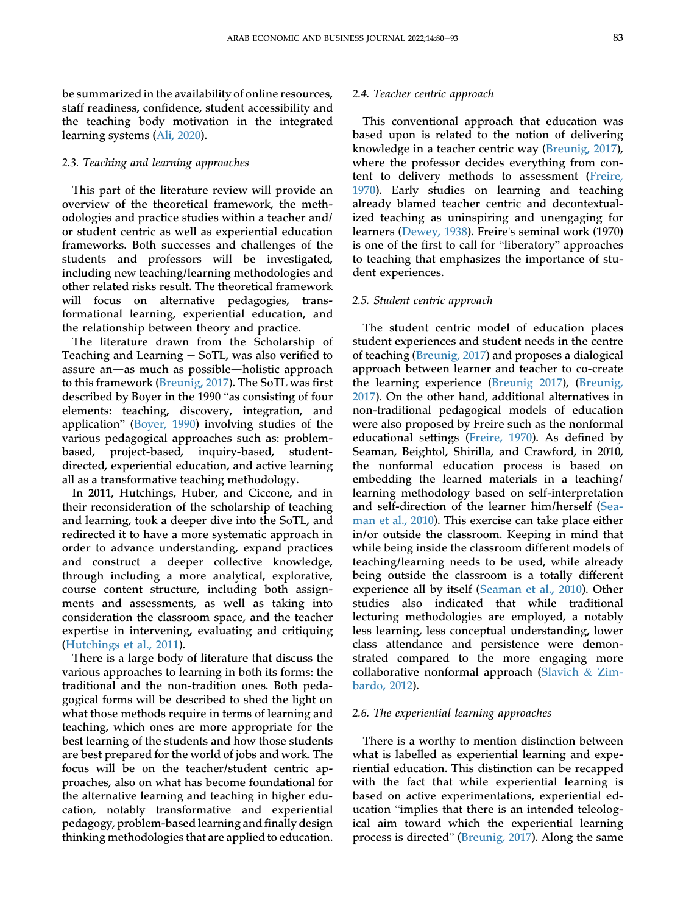be summarized in the availability of online resources, staff readiness, confidence, student accessibility and the teaching body motivation in the integrated learning systems ([Ali, 2020](#page-13-18)).

#### 2.3. Teaching and learning approaches

This part of the literature review will provide an overview of the theoretical framework, the methodologies and practice studies within a teacher and/ or student centric as well as experiential education frameworks. Both successes and challenges of the students and professors will be investigated, including new teaching/learning methodologies and other related risks result. The theoretical framework will focus on alternative pedagogies, transformational learning, experiential education, and the relationship between theory and practice.

The literature drawn from the Scholarship of Teaching and Learning  $-$  SoTL, was also verified to assure an-as much as possible-holistic approach to this framework [\(Breunig, 2017\)](#page-13-0). The SoTL was first described by Boyer in the 1990 "as consisting of four elements: teaching, discovery, integration, and application" [\(Boyer, 1990\)](#page-13-19) involving studies of the various pedagogical approaches such as: problembased, project-based, inquiry-based, studentdirected, experiential education, and active learning all as a transformative teaching methodology.

In 2011, Hutchings, Huber, and Ciccone, and in their reconsideration of the scholarship of teaching and learning, took a deeper dive into the SoTL, and redirected it to have a more systematic approach in order to advance understanding, expand practices and construct a deeper collective knowledge, through including a more analytical, explorative, course content structure, including both assignments and assessments, as well as taking into consideration the classroom space, and the teacher expertise in intervening, evaluating and critiquing [\(Hutchings et al., 2011](#page-14-8)).

There is a large body of literature that discuss the various approaches to learning in both its forms: the traditional and the non-tradition ones. Both pedagogical forms will be described to shed the light on what those methods require in terms of learning and teaching, which ones are more appropriate for the best learning of the students and how those students are best prepared for the world of jobs and work. The focus will be on the teacher/student centric approaches, also on what has become foundational for the alternative learning and teaching in higher education, notably transformative and experiential pedagogy, problem-based learning and finally design thinking methodologies that are applied to education.

#### 2.4. Teacher centric approach

This conventional approach that education was based upon is related to the notion of delivering knowledge in a teacher centric way [\(Breunig, 2017\)](#page-13-0), where the professor decides everything from content to delivery methods to assessment [\(Freire,](#page-13-20) [1970](#page-13-20)). Early studies on learning and teaching already blamed teacher centric and decontextualized teaching as uninspiring and unengaging for learners [\(Dewey, 1938\)](#page-13-1). Freire's seminal work (1970) is one of the first to call for "liberatory" approaches to teaching that emphasizes the importance of student experiences.

#### 2.5. Student centric approach

The student centric model of education places student experiences and student needs in the centre of teaching [\(Breunig, 2017](#page-13-0)) and proposes a dialogical approach between learner and teacher to co-create the learning experience [\(Breunig 2017\)](#page-13-0), [\(Breunig,](#page-13-0) [2017](#page-13-0)). On the other hand, additional alternatives in non-traditional pedagogical models of education were also proposed by Freire such as the nonformal educational settings [\(Freire, 1970](#page-13-20)). As defined by Seaman, Beightol, Shirilla, and Crawford, in 2010, the nonformal education process is based on embedding the learned materials in a teaching/ learning methodology based on self-interpretation and self-direction of the learner him/herself ([Sea](#page-14-4)[man et al., 2010\)](#page-14-4). This exercise can take place either in/or outside the classroom. Keeping in mind that while being inside the classroom different models of teaching/learning needs to be used, while already being outside the classroom is a totally different experience all by itself ([Seaman et al., 2010](#page-14-4)). Other studies also indicated that while traditional lecturing methodologies are employed, a notably less learning, less conceptual understanding, lower class attendance and persistence were demonstrated compared to the more engaging more collaborative nonformal approach [\(Slavich](#page-14-9) & [Zim](#page-14-9)[bardo, 2012](#page-14-9)).

#### 2.6. The experiential learning approaches

There is a worthy to mention distinction between what is labelled as experiential learning and experiential education. This distinction can be recapped with the fact that while experiential learning is based on active experimentations, experiential education "implies that there is an intended teleological aim toward which the experiential learning process is directed" ([Breunig, 2017\)](#page-13-0). Along the same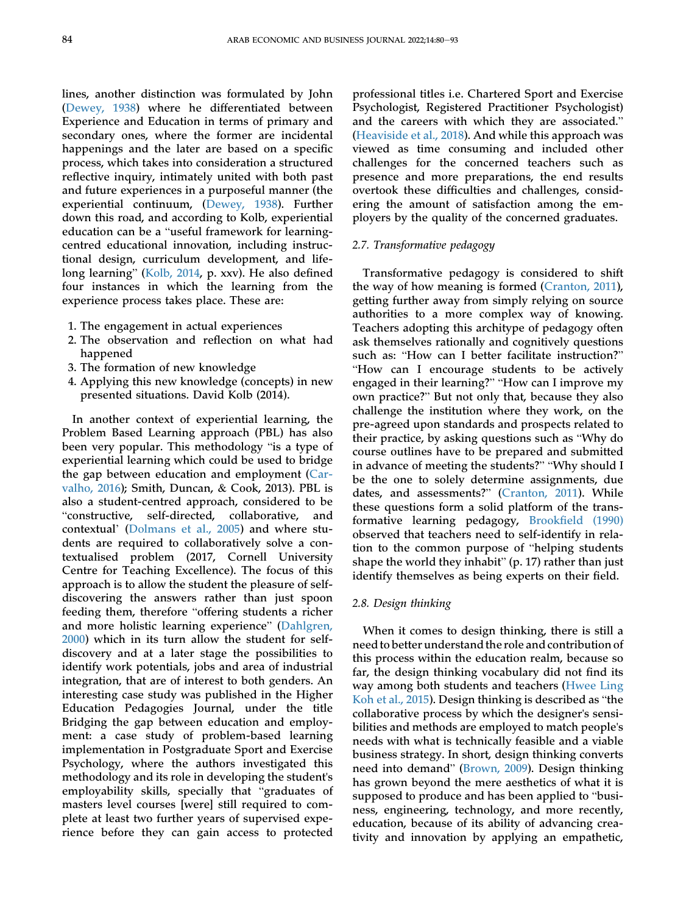lines, another distinction was formulated by John [\(Dewey, 1938](#page-13-1)) where he differentiated between Experience and Education in terms of primary and secondary ones, where the former are incidental happenings and the later are based on a specific process, which takes into consideration a structured reflective inquiry, intimately united with both past and future experiences in a purposeful manner (the experiential continuum, [\(Dewey, 1938](#page-13-1)). Further down this road, and according to Kolb, experiential education can be a "useful framework for learningcentred educational innovation, including instructional design, curriculum development, and lifelong learning" [\(Kolb, 2014,](#page-14-10) p. xxv). He also defined four instances in which the learning from the experience process takes place. These are:

- 1. The engagement in actual experiences
- 2. The observation and reflection on what had happened
- 3. The formation of new knowledge
- 4. Applying this new knowledge (concepts) in new presented situations. David Kolb (2014).

In another context of experiential learning, the Problem Based Learning approach (PBL) has also been very popular. This methodology "is a type of experiential learning which could be used to bridge the gap between education and employment ([Car](#page-13-12)[valho, 2016\)](#page-13-12); Smith, Duncan, & Cook, 2013). PBL is also a student-centred approach, considered to be "constructive, self-directed, collaborative, and contextual' ([Dolmans et al., 2005\)](#page-13-13) and where students are required to collaboratively solve a contextualised problem (2017, Cornell University Centre for Teaching Excellence). The focus of this approach is to allow the student the pleasure of selfdiscovering the answers rather than just spoon feeding them, therefore "offering students a richer and more holistic learning experience" ([Dahlgren,](#page-13-15) [2000\)](#page-13-15) which in its turn allow the student for selfdiscovery and at a later stage the possibilities to identify work potentials, jobs and area of industrial integration, that are of interest to both genders. An interesting case study was published in the Higher Education Pedagogies Journal, under the title Bridging the gap between education and employment: a case study of problem-based learning implementation in Postgraduate Sport and Exercise Psychology, where the authors investigated this methodology and its role in developing the student's employability skills, specially that "graduates of masters level courses [were] still required to complete at least two further years of supervised experience before they can gain access to protected professional titles i.e. Chartered Sport and Exercise Psychologist, Registered Practitioner Psychologist) and the careers with which they are associated." [\(Heaviside et al., 2018\)](#page-14-6). And while this approach was viewed as time consuming and included other challenges for the concerned teachers such as presence and more preparations, the end results overtook these difficulties and challenges, considering the amount of satisfaction among the employers by the quality of the concerned graduates.

# 2.7. Transformative pedagogy

Transformative pedagogy is considered to shift the way of how meaning is formed ([Cranton, 2011\)](#page-13-21), getting further away from simply relying on source authorities to a more complex way of knowing. Teachers adopting this architype of pedagogy often ask themselves rationally and cognitively questions such as: "How can I better facilitate instruction?" "How can I encourage students to be actively engaged in their learning?" "How can I improve my own practice?" But not only that, because they also challenge the institution where they work, on the pre-agreed upon standards and prospects related to their practice, by asking questions such as "Why do course outlines have to be prepared and submitted in advance of meeting the students?" "Why should I be the one to solely determine assignments, due dates, and assessments?" [\(Cranton, 2011](#page-13-21)). While these questions form a solid platform of the transformative learning pedagogy, Brookfi[eld \(1990\)](#page-13-22) observed that teachers need to self-identify in relation to the common purpose of "helping students shape the world they inhabit" (p. 17) rather than just identify themselves as being experts on their field.

#### 2.8. Design thinking

When it comes to design thinking, there is still a need to better understand the role and contribution of this process within the education realm, because so far, the design thinking vocabulary did not find its way among both students and teachers [\(Hwee Ling](#page-14-11) [Koh et al., 2015\)](#page-14-11). Design thinking is described as "the collaborative process by which the designer's sensibilities and methods are employed to match people's needs with what is technically feasible and a viable business strategy. In short, design thinking converts need into demand" [\(Brown, 2009](#page-13-23)). Design thinking has grown beyond the mere aesthetics of what it is supposed to produce and has been applied to "business, engineering, technology, and more recently, education, because of its ability of advancing creativity and innovation by applying an empathetic,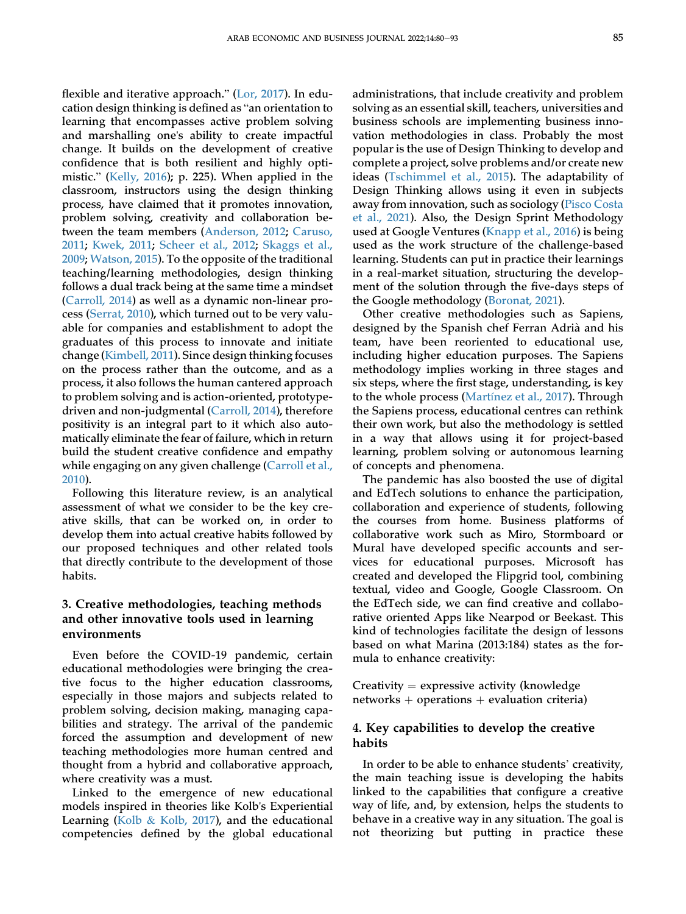flexible and iterative approach." ([Lor, 2017\)](#page-14-12). In education design thinking is defined as "an orientation to learning that encompasses active problem solving and marshalling one's ability to create impactful change. It builds on the development of creative confidence that is both resilient and highly optimistic." [\(Kelly, 2016\)](#page-14-13); p. 225). When applied in the classroom, instructors using the design thinking process, have claimed that it promotes innovation, problem solving, creativity and collaboration between the team members ([Anderson, 2012](#page-13-24); [Caruso,](#page-13-25) [2011;](#page-13-25) [Kwek, 2011](#page-14-14); [Scheer et al., 2012;](#page-14-15) [Skaggs et al.,](#page-14-16) [2009;](#page-14-16) [Watson, 2015](#page-14-17)). To the opposite of the traditional teaching/learning methodologies, design thinking follows a dual track being at the same time a mindset [\(Carroll, 2014\)](#page-13-26) as well as a dynamic non-linear process ([Serrat, 2010](#page-14-18)), which turned out to be very valuable for companies and establishment to adopt the

graduates of this process to innovate and initiate change [\(Kimbell, 2011](#page-14-19)). Since design thinking focuses on the process rather than the outcome, and as a process, it also follows the human cantered approach to problem solving and is action-oriented, prototypedriven and non-judgmental [\(Carroll, 2014\)](#page-13-26), therefore positivity is an integral part to it which also automatically eliminate the fear of failure, which in return build the student creative confidence and empathy while engaging on any given challenge ([Carroll et al.,](#page-13-27) [2010\)](#page-13-27).

Following this literature review, is an analytical assessment of what we consider to be the key creative skills, that can be worked on, in order to develop them into actual creative habits followed by our proposed techniques and other related tools that directly contribute to the development of those habits.

# 3. Creative methodologies, teaching methods and other innovative tools used in learning environments

Even before the COVID-19 pandemic, certain educational methodologies were bringing the creative focus to the higher education classrooms, especially in those majors and subjects related to problem solving, decision making, managing capabilities and strategy. The arrival of the pandemic forced the assumption and development of new teaching methodologies more human centred and thought from a hybrid and collaborative approach, where creativity was a must.

Linked to the emergence of new educational models inspired in theories like Kolb's Experiential Learning ([Kolb](#page-14-20)  $\&$  [Kolb, 2017](#page-14-20)), and the educational competencies defined by the global educational

administrations, that include creativity and problem solving as an essential skill, teachers, universities and business schools are implementing business innovation methodologies in class. Probably the most popular is the use of Design Thinking to develop and complete a project, solve problems and/or create new ideas [\(Tschimmel et al., 2015](#page-14-21)). The adaptability of Design Thinking allows using it even in subjects away from innovation, such as sociology [\(Pisco Costa](#page-14-22) [et al., 2021](#page-14-22)). Also, the Design Sprint Methodology used at Google Ventures [\(Knapp et al., 2016\)](#page-14-23) is being used as the work structure of the challenge-based learning. Students can put in practice their learnings in a real-market situation, structuring the development of the solution through the five-days steps of the Google methodology [\(Boronat, 2021\)](#page-13-28).

Other creative methodologies such as Sapiens, designed by the Spanish chef Ferran Adria and his team, have been reoriented to educational use, including higher education purposes. The Sapiens methodology implies working in three stages and six steps, where the first stage, understanding, is key to the whole process (Martí[nez et al., 2017\)](#page-14-24). Through the Sapiens process, educational centres can rethink their own work, but also the methodology is settled in a way that allows using it for project-based learning, problem solving or autonomous learning of concepts and phenomena.

The pandemic has also boosted the use of digital and EdTech solutions to enhance the participation, collaboration and experience of students, following the courses from home. Business platforms of collaborative work such as Miro, Stormboard or Mural have developed specific accounts and services for educational purposes. Microsoft has created and developed the Flipgrid tool, combining textual, video and Google, Google Classroom. On the EdTech side, we can find creative and collaborative oriented Apps like Nearpod or Beekast. This kind of technologies facilitate the design of lessons based on what Marina (2013:184) states as the formula to enhance creativity:

Creativity  $=$  expressive activity (knowledge networks  $+$  operations  $+$  evaluation criteria)

# 4. Key capabilities to develop the creative habits

In order to be able to enhance students' creativity, the main teaching issue is developing the habits linked to the capabilities that configure a creative way of life, and, by extension, helps the students to behave in a creative way in any situation. The goal is not theorizing but putting in practice these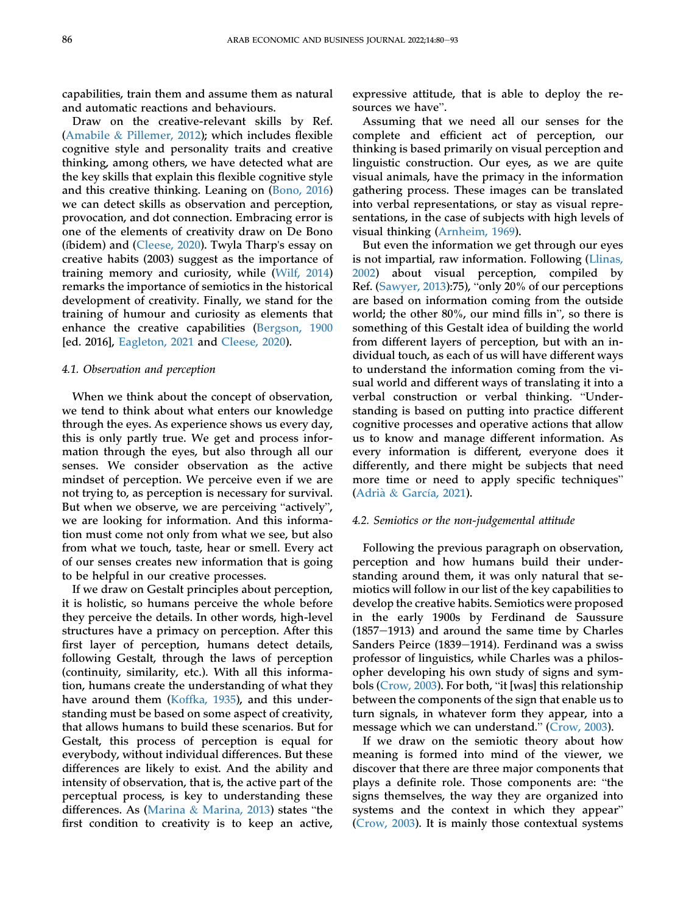capabilities, train them and assume them as natural and automatic reactions and behaviours.

Draw on the creative-relevant skills by Ref. [\(Amabile](#page-13-2) & [Pillemer, 2012](#page-13-2)); which includes flexible cognitive style and personality traits and creative thinking, among others, we have detected what are the key skills that explain this flexible cognitive style and this creative thinking. Leaning on ([Bono, 2016\)](#page-13-29) we can detect skills as observation and perception, provocation, and dot connection. Embracing error is one of the elements of creativity draw on De Bono (íbidem) and ([Cleese, 2020](#page-13-30)). Twyla Tharp's essay on creative habits (2003) suggest as the importance of training memory and curiosity, while [\(Wilf, 2014\)](#page-14-25) remarks the importance of semiotics in the historical development of creativity. Finally, we stand for the training of humour and curiosity as elements that enhance the creative capabilities [\(Bergson, 1900](#page-13-31) [ed. 2016], [Eagleton, 2021](#page-13-32) and [Cleese, 2020\)](#page-13-30).

#### 4.1. Observation and perception

When we think about the concept of observation, we tend to think about what enters our knowledge through the eyes. As experience shows us every day, this is only partly true. We get and process information through the eyes, but also through all our senses. We consider observation as the active mindset of perception. We perceive even if we are not trying to, as perception is necessary for survival. But when we observe, we are perceiving "actively", we are looking for information. And this information must come not only from what we see, but also from what we touch, taste, hear or smell. Every act of our senses creates new information that is going to be helpful in our creative processes.

If we draw on Gestalt principles about perception, it is holistic, so humans perceive the whole before they perceive the details. In other words, high-level structures have a primacy on perception. After this first layer of perception, humans detect details, following Gestalt, through the laws of perception (continuity, similarity, etc.). With all this information, humans create the understanding of what they have around them [\(Koffka, 1935](#page-14-26)), and this understanding must be based on some aspect of creativity, that allows humans to build these scenarios. But for Gestalt, this process of perception is equal for everybody, without individual differences. But these differences are likely to exist. And the ability and intensity of observation, that is, the active part of the perceptual process, is key to understanding these differences. As [\(Marina](#page-14-27) & [Marina, 2013\)](#page-14-27) states "the first condition to creativity is to keep an active,

expressive attitude, that is able to deploy the resources we have".

Assuming that we need all our senses for the complete and efficient act of perception, our thinking is based primarily on visual perception and linguistic construction. Our eyes, as we are quite visual animals, have the primacy in the information gathering process. These images can be translated into verbal representations, or stay as visual representations, in the case of subjects with high levels of visual thinking ([Arnheim, 1969](#page-13-33)).

But even the information we get through our eyes is not impartial, raw information. Following ([Llinas,](#page-14-28) [2002](#page-14-28)) about visual perception, compiled by Ref. [\(Sawyer, 2013\)](#page-14-29):75), "only 20% of our perceptions are based on information coming from the outside world; the other 80%, our mind fills in", so there is something of this Gestalt idea of building the world from different layers of perception, but with an individual touch, as each of us will have different ways to understand the information coming from the visual world and different ways of translating it into a verbal construction or verbal thinking. "Understanding is based on putting into practice different cognitive processes and operative actions that allow us to know and manage different information. As every information is different, everyone does it differently, and there might be subjects that need more time or need to apply specific techniques" [\(Adria](#page-13-34) & Garcí[a, 2021\)](#page-13-34).

#### 4.2. Semiotics or the non-judgemental attitude

Following the previous paragraph on observation, perception and how humans build their understanding around them, it was only natural that semiotics will follow in our list of the key capabilities to develop the creative habits. Semiotics were proposed in the early 1900s by Ferdinand de Saussure  $(1857-1913)$  and around the same time by Charles Sanders Peirce (1839–1914). Ferdinand was a swiss professor of linguistics, while Charles was a philosopher developing his own study of signs and symbols [\(Crow, 2003\)](#page-13-35). For both, "it [was] this relationship between the components of the sign that enable us to turn signals, in whatever form they appear, into a message which we can understand." [\(Crow, 2003\)](#page-13-35).

If we draw on the semiotic theory about how meaning is formed into mind of the viewer, we discover that there are three major components that plays a definite role. Those components are: "the signs themselves, the way they are organized into systems and the context in which they appear" [\(Crow, 2003\)](#page-13-35). It is mainly those contextual systems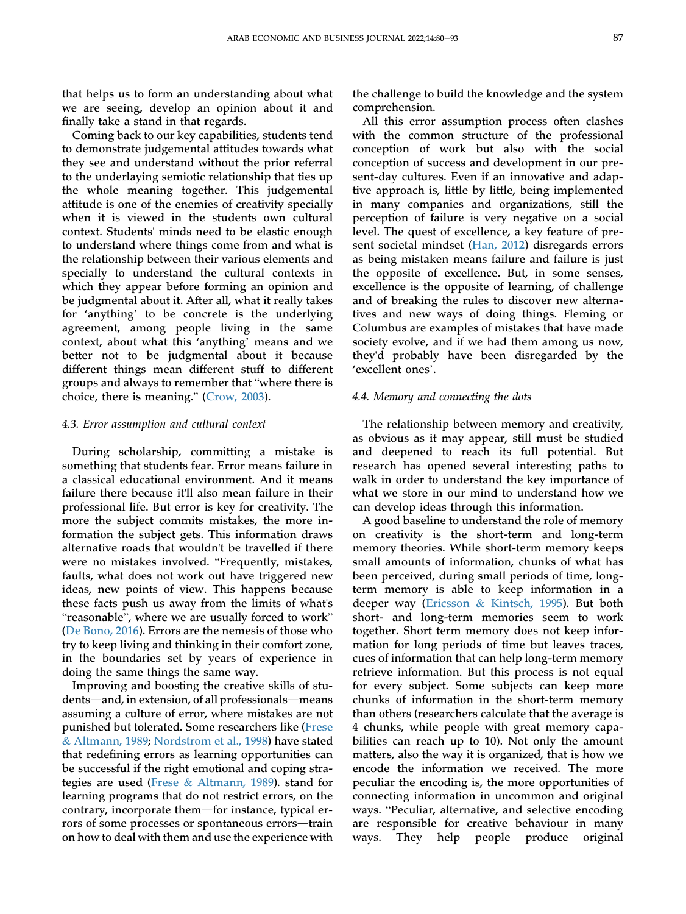that helps us to form an understanding about what we are seeing, develop an opinion about it and finally take a stand in that regards.

Coming back to our key capabilities, students tend to demonstrate judgemental attitudes towards what they see and understand without the prior referral to the underlaying semiotic relationship that ties up the whole meaning together. This judgemental attitude is one of the enemies of creativity specially when it is viewed in the students own cultural context. Students' minds need to be elastic enough to understand where things come from and what is the relationship between their various elements and specially to understand the cultural contexts in which they appear before forming an opinion and be judgmental about it. After all, what it really takes for 'anything' to be concrete is the underlying agreement, among people living in the same context, about what this 'anything' means and we better not to be judgmental about it because different things mean different stuff to different groups and always to remember that "where there is choice, there is meaning." ([Crow, 2003\)](#page-13-35).

#### 4.3. Error assumption and cultural context

During scholarship, committing a mistake is something that students fear. Error means failure in a classical educational environment. And it means failure there because it'll also mean failure in their professional life. But error is key for creativity. The more the subject commits mistakes, the more information the subject gets. This information draws alternative roads that wouldn't be travelled if there were no mistakes involved. "Frequently, mistakes, faults, what does not work out have triggered new ideas, new points of view. This happens because these facts push us away from the limits of what's "reasonable", where we are usually forced to work" [\(De Bono, 2016\)](#page-13-29). Errors are the nemesis of those who try to keep living and thinking in their comfort zone, in the boundaries set by years of experience in doing the same things the same way.

Improving and boosting the creative skills of students—and, in extension, of all professionals—means assuming a culture of error, where mistakes are not punished but tolerated. Some researchers like [\(Frese](#page-13-36) & [Altmann, 1989;](#page-13-36) [Nordstrom et al., 1998](#page-14-30)) have stated that redefining errors as learning opportunities can be successful if the right emotional and coping strategies are used [\(Frese](#page-13-36) & [Altmann, 1989\)](#page-13-36). stand for learning programs that do not restrict errors, on the contrary, incorporate them-for instance, typical errors of some processes or spontaneous errors—train on how to deal with them and use the experience with

the challenge to build the knowledge and the system comprehension.

All this error assumption process often clashes with the common structure of the professional conception of work but also with the social conception of success and development in our present-day cultures. Even if an innovative and adaptive approach is, little by little, being implemented in many companies and organizations, still the perception of failure is very negative on a social level. The quest of excellence, a key feature of present societal mindset [\(Han, 2012\)](#page-14-31) disregards errors as being mistaken means failure and failure is just the opposite of excellence. But, in some senses, excellence is the opposite of learning, of challenge and of breaking the rules to discover new alternatives and new ways of doing things. Fleming or Columbus are examples of mistakes that have made society evolve, and if we had them among us now, they'd probably have been disregarded by the 'excellent ones'.

#### 4.4. Memory and connecting the dots

The relationship between memory and creativity, as obvious as it may appear, still must be studied and deepened to reach its full potential. But research has opened several interesting paths to walk in order to understand the key importance of what we store in our mind to understand how we can develop ideas through this information.

A good baseline to understand the role of memory on creativity is the short-term and long-term memory theories. While short-term memory keeps small amounts of information, chunks of what has been perceived, during small periods of time, longterm memory is able to keep information in a deeper way ([Ericsson](#page-13-37) & [Kintsch, 1995\)](#page-13-37). But both short- and long-term memories seem to work together. Short term memory does not keep information for long periods of time but leaves traces, cues of information that can help long-term memory retrieve information. But this process is not equal for every subject. Some subjects can keep more chunks of information in the short-term memory than others (researchers calculate that the average is 4 chunks, while people with great memory capabilities can reach up to 10). Not only the amount matters, also the way it is organized, that is how we encode the information we received. The more peculiar the encoding is, the more opportunities of connecting information in uncommon and original ways. "Peculiar, alternative, and selective encoding are responsible for creative behaviour in many ways. They help people produce original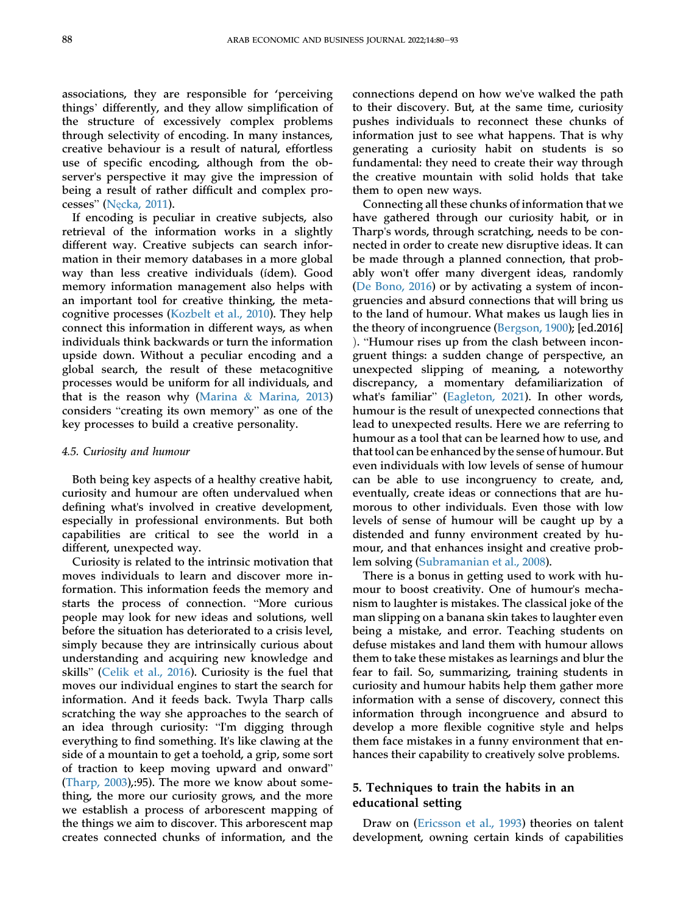associations, they are responsible for 'perceiving things' differently, and they allow simplification of the structure of excessively complex problems through selectivity of encoding. In many instances, creative behaviour is a result of natural, effortless use of specific encoding, although from the observer's perspective it may give the impression of being a result of rather difficult and complex processes" (Nę[cka, 2011](#page-14-32)).

If encoding is peculiar in creative subjects, also retrieval of the information works in a slightly different way. Creative subjects can search information in their memory databases in a more global way than less creative individuals (ídem). Good memory information management also helps with an important tool for creative thinking, the metacognitive processes [\(Kozbelt et al., 2010](#page-14-33)). They help connect this information in different ways, as when individuals think backwards or turn the information upside down. Without a peculiar encoding and a global search, the result of these metacognitive processes would be uniform for all individuals, and that is the reason why [\(Marina](#page-14-27) & [Marina, 2013\)](#page-14-27) considers "creating its own memory" as one of the key processes to build a creative personality.

#### 4.5. Curiosity and humour

Both being key aspects of a healthy creative habit, curiosity and humour are often undervalued when defining what's involved in creative development, especially in professional environments. But both capabilities are critical to see the world in a different, unexpected way.

Curiosity is related to the intrinsic motivation that moves individuals to learn and discover more information. This information feeds the memory and starts the process of connection. "More curious people may look for new ideas and solutions, well before the situation has deteriorated to a crisis level, simply because they are intrinsically curious about understanding and acquiring new knowledge and skills" [\(Celik et al., 2016](#page-13-38)). Curiosity is the fuel that moves our individual engines to start the search for information. And it feeds back. Twyla Tharp calls scratching the way she approaches to the search of an idea through curiosity: "I'm digging through everything to find something. It's like clawing at the side of a mountain to get a toehold, a grip, some sort of traction to keep moving upward and onward" [\(Tharp, 2003\)](#page-14-34),:95). The more we know about something, the more our curiosity grows, and the more we establish a process of arborescent mapping of the things we aim to discover. This arborescent map creates connected chunks of information, and the

connections depend on how we've walked the path to their discovery. But, at the same time, curiosity pushes individuals to reconnect these chunks of information just to see what happens. That is why generating a curiosity habit on students is so fundamental: they need to create their way through the creative mountain with solid holds that take them to open new ways.

Connecting all these chunks of information that we have gathered through our curiosity habit, or in Tharp's words, through scratching, needs to be connected in order to create new disruptive ideas. It can be made through a planned connection, that probably won't offer many divergent ideas, randomly [\(De Bono, 2016](#page-13-29)) or by activating a system of incongruencies and absurd connections that will bring us to the land of humour. What makes us laugh lies in the theory of incongruence ([Bergson, 1900](#page-13-31)); [ed.2016] ). "Humour rises up from the clash between incongruent things: a sudden change of perspective, an unexpected slipping of meaning, a noteworthy discrepancy, a momentary defamiliarization of what's familiar" [\(Eagleton, 2021\)](#page-13-32). In other words, humour is the result of unexpected connections that lead to unexpected results. Here we are referring to humour as a tool that can be learned how to use, and that tool can be enhanced by the sense of humour. But even individuals with low levels of sense of humour can be able to use incongruency to create, and, eventually, create ideas or connections that are humorous to other individuals. Even those with low levels of sense of humour will be caught up by a distended and funny environment created by humour, and that enhances insight and creative problem solving ([Subramanian et al., 2008\)](#page-14-35).

There is a bonus in getting used to work with humour to boost creativity. One of humour's mechanism to laughter is mistakes. The classical joke of the man slipping on a banana skin takes to laughter even being a mistake, and error. Teaching students on defuse mistakes and land them with humour allows them to take these mistakes as learnings and blur the fear to fail. So, summarizing, training students in curiosity and humour habits help them gather more information with a sense of discovery, connect this information through incongruence and absurd to develop a more flexible cognitive style and helps them face mistakes in a funny environment that enhances their capability to creatively solve problems.

# 5. Techniques to train the habits in an educational setting

Draw on [\(Ericsson et al., 1993](#page-13-39)) theories on talent development, owning certain kinds of capabilities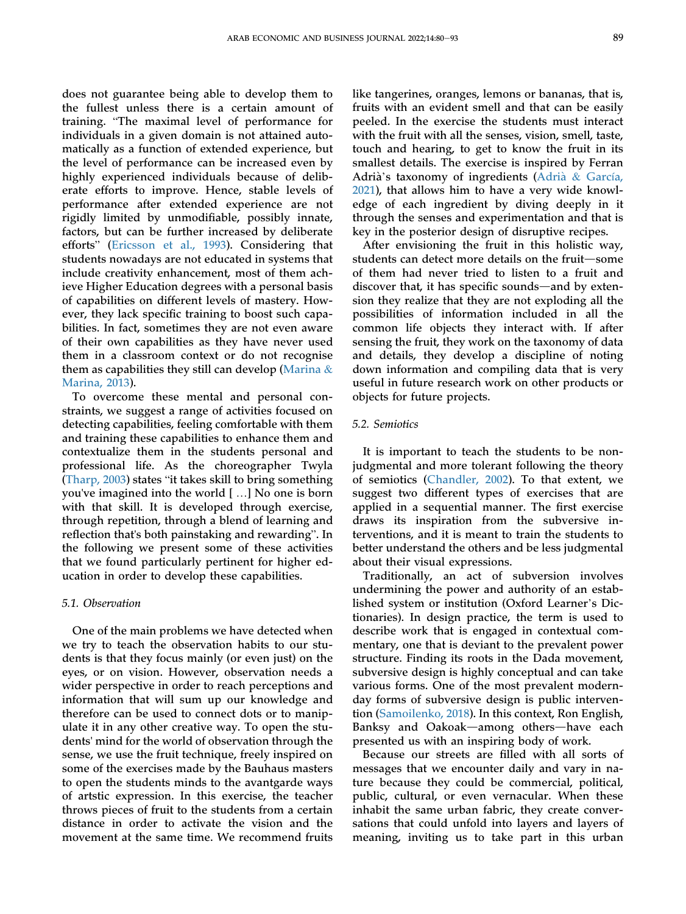does not guarantee being able to develop them to the fullest unless there is a certain amount of training. "The maximal level of performance for individuals in a given domain is not attained automatically as a function of extended experience, but the level of performance can be increased even by highly experienced individuals because of deliberate efforts to improve. Hence, stable levels of performance after extended experience are not rigidly limited by unmodifiable, possibly innate, factors, but can be further increased by deliberate efforts" ([Ericsson et al., 1993](#page-13-39)). Considering that students nowadays are not educated in systems that include creativity enhancement, most of them achieve Higher Education degrees with a personal basis of capabilities on different levels of mastery. However, they lack specific training to boost such capabilities. In fact, sometimes they are not even aware of their own capabilities as they have never used them in a classroom context or do not recognise them as capabilities they still can develop ([Marina](#page-14-27)  $\&$ [Marina, 2013\)](#page-14-27).

To overcome these mental and personal constraints, we suggest a range of activities focused on detecting capabilities, feeling comfortable with them and training these capabilities to enhance them and contextualize them in the students personal and professional life. As the choreographer Twyla [\(Tharp, 2003\)](#page-14-34) states "it takes skill to bring something you've imagined into the world [ …] No one is born with that skill. It is developed through exercise, through repetition, through a blend of learning and reflection that's both painstaking and rewarding". In the following we present some of these activities that we found particularly pertinent for higher education in order to develop these capabilities.

#### 5.1. Observation

One of the main problems we have detected when we try to teach the observation habits to our students is that they focus mainly (or even just) on the eyes, or on vision. However, observation needs a wider perspective in order to reach perceptions and information that will sum up our knowledge and therefore can be used to connect dots or to manipulate it in any other creative way. To open the students' mind for the world of observation through the sense, we use the fruit technique, freely inspired on some of the exercises made by the Bauhaus masters to open the students minds to the avantgarde ways of artstic expression. In this exercise, the teacher throws pieces of fruit to the students from a certain distance in order to activate the vision and the movement at the same time. We recommend fruits

like tangerines, oranges, lemons or bananas, that is, fruits with an evident smell and that can be easily peeled. In the exercise the students must interact with the fruit with all the senses, vision, smell, taste, touch and hearing, to get to know the fruit in its smallest details. The exercise is inspired by Ferran Adrià's taxonomy of ingredients [\(Adri](#page-13-34)à [&](#page-13-34) [Garc](#page-13-34)ía, [2021](#page-13-34)), that allows him to have a very wide knowledge of each ingredient by diving deeply in it through the senses and experimentation and that is key in the posterior design of disruptive recipes.

After envisioning the fruit in this holistic way, students can detect more details on the fruit-some of them had never tried to listen to a fruit and discover that, it has specific sounds—and by extension they realize that they are not exploding all the possibilities of information included in all the common life objects they interact with. If after sensing the fruit, they work on the taxonomy of data and details, they develop a discipline of noting down information and compiling data that is very useful in future research work on other products or objects for future projects.

#### 5.2. Semiotics

It is important to teach the students to be nonjudgmental and more tolerant following the theory of semiotics ([Chandler, 2002](#page-13-40)). To that extent, we suggest two different types of exercises that are applied in a sequential manner. The first exercise draws its inspiration from the subversive interventions, and it is meant to train the students to better understand the others and be less judgmental about their visual expressions.

Traditionally, an act of subversion involves undermining the power and authority of an established system or institution (Oxford Learner's Dictionaries). In design practice, the term is used to describe work that is engaged in contextual commentary, one that is deviant to the prevalent power structure. Finding its roots in the Dada movement, subversive design is highly conceptual and can take various forms. One of the most prevalent modernday forms of subversive design is public intervention [\(Samoilenko, 2018\)](#page-14-36). In this context, Ron English, Banksy and Oakoak—among others—have each presented us with an inspiring body of work.

Because our streets are filled with all sorts of messages that we encounter daily and vary in nature because they could be commercial, political, public, cultural, or even vernacular. When these inhabit the same urban fabric, they create conversations that could unfold into layers and layers of meaning, inviting us to take part in this urban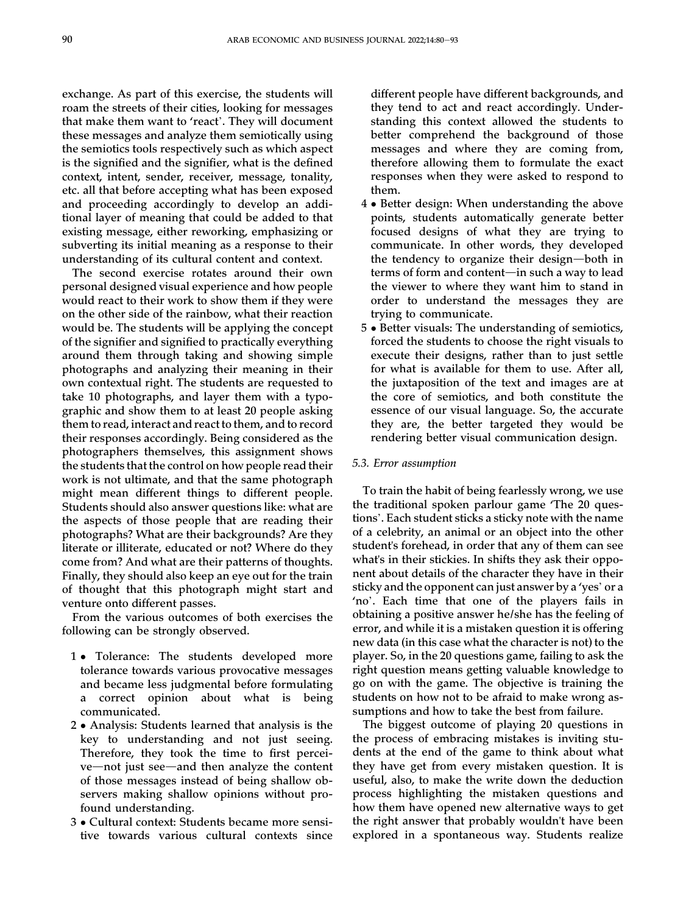exchange. As part of this exercise, the students will roam the streets of their cities, looking for messages that make them want to 'react'. They will document these messages and analyze them semiotically using the semiotics tools respectively such as which aspect is the signified and the signifier, what is the defined context, intent, sender, receiver, message, tonality, etc. all that before accepting what has been exposed and proceeding accordingly to develop an additional layer of meaning that could be added to that existing message, either reworking, emphasizing or subverting its initial meaning as a response to their understanding of its cultural content and context.

The second exercise rotates around their own personal designed visual experience and how people would react to their work to show them if they were on the other side of the rainbow, what their reaction would be. The students will be applying the concept of the signifier and signified to practically everything around them through taking and showing simple photographs and analyzing their meaning in their own contextual right. The students are requested to take 10 photographs, and layer them with a typographic and show them to at least 20 people asking them to read, interact and react to them, and to record their responses accordingly. Being considered as the photographers themselves, this assignment shows the students that the control on how people read their work is not ultimate, and that the same photograph might mean different things to different people. Students should also answer questions like: what are the aspects of those people that are reading their photographs? What are their backgrounds? Are they literate or illiterate, educated or not? Where do they come from? And what are their patterns of thoughts. Finally, they should also keep an eye out for the train of thought that this photograph might start and venture onto different passes.

From the various outcomes of both exercises the following can be strongly observed.

- 1 Tolerance: The students developed more tolerance towards various provocative messages and became less judgmental before formulating a correct opinion about what is being communicated.
- 2 Analysis: Students learned that analysis is the key to understanding and not just seeing. Therefore, they took the time to first percei $ve$ —not just see—and then analyze the content of those messages instead of being shallow observers making shallow opinions without profound understanding.
- 3 Cultural context: Students became more sensitive towards various cultural contexts since

different people have different backgrounds, and they tend to act and react accordingly. Understanding this context allowed the students to better comprehend the background of those messages and where they are coming from, therefore allowing them to formulate the exact responses when they were asked to respond to them.

- 4 Better design: When understanding the above points, students automatically generate better focused designs of what they are trying to communicate. In other words, they developed the tendency to organize their design-both in terms of form and content-in such a way to lead the viewer to where they want him to stand in order to understand the messages they are trying to communicate.
- 5 Better visuals: The understanding of semiotics, forced the students to choose the right visuals to execute their designs, rather than to just settle for what is available for them to use. After all, the juxtaposition of the text and images are at the core of semiotics, and both constitute the essence of our visual language. So, the accurate they are, the better targeted they would be rendering better visual communication design.

#### 5.3. Error assumption

To train the habit of being fearlessly wrong, we use the traditional spoken parlour game 'The 20 questions'. Each student sticks a sticky note with the name of a celebrity, an animal or an object into the other student's forehead, in order that any of them can see what's in their stickies. In shifts they ask their opponent about details of the character they have in their sticky and the opponent can just answer by a 'yes' or a 'no'. Each time that one of the players fails in obtaining a positive answer he/she has the feeling of error, and while it is a mistaken question it is offering new data (in this case what the character is not) to the player. So, in the 20 questions game, failing to ask the right question means getting valuable knowledge to go on with the game. The objective is training the students on how not to be afraid to make wrong assumptions and how to take the best from failure.

The biggest outcome of playing 20 questions in the process of embracing mistakes is inviting students at the end of the game to think about what they have get from every mistaken question. It is useful, also, to make the write down the deduction process highlighting the mistaken questions and how them have opened new alternative ways to get the right answer that probably wouldn't have been explored in a spontaneous way. Students realize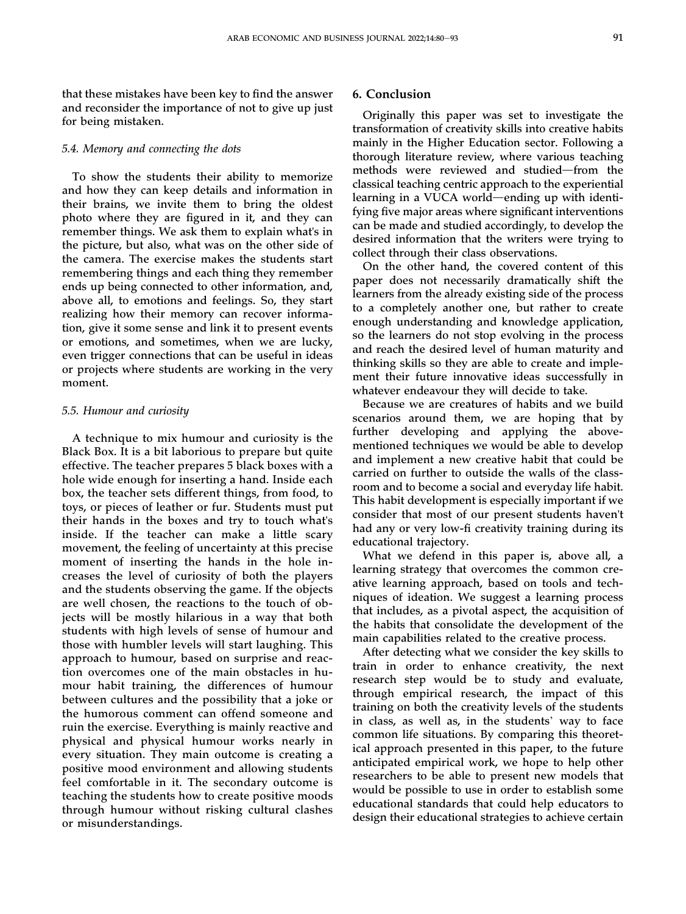#### 5.4. Memory and connecting the dots

for being mistaken.

To show the students their ability to memorize and how they can keep details and information in their brains, we invite them to bring the oldest photo where they are figured in it, and they can remember things. We ask them to explain what's in the picture, but also, what was on the other side of the camera. The exercise makes the students start remembering things and each thing they remember ends up being connected to other information, and, above all, to emotions and feelings. So, they start realizing how their memory can recover information, give it some sense and link it to present events or emotions, and sometimes, when we are lucky, even trigger connections that can be useful in ideas or projects where students are working in the very moment.

#### 5.5. Humour and curiosity

A technique to mix humour and curiosity is the Black Box. It is a bit laborious to prepare but quite effective. The teacher prepares 5 black boxes with a hole wide enough for inserting a hand. Inside each box, the teacher sets different things, from food, to toys, or pieces of leather or fur. Students must put their hands in the boxes and try to touch what's inside. If the teacher can make a little scary movement, the feeling of uncertainty at this precise moment of inserting the hands in the hole increases the level of curiosity of both the players and the students observing the game. If the objects are well chosen, the reactions to the touch of objects will be mostly hilarious in a way that both students with high levels of sense of humour and those with humbler levels will start laughing. This approach to humour, based on surprise and reaction overcomes one of the main obstacles in humour habit training, the differences of humour between cultures and the possibility that a joke or the humorous comment can offend someone and ruin the exercise. Everything is mainly reactive and physical and physical humour works nearly in every situation. They main outcome is creating a positive mood environment and allowing students feel comfortable in it. The secondary outcome is teaching the students how to create positive moods through humour without risking cultural clashes or misunderstandings.

#### 6. Conclusion

Originally this paper was set to investigate the transformation of creativity skills into creative habits mainly in the Higher Education sector. Following a thorough literature review, where various teaching methods were reviewed and studied-from the classical teaching centric approach to the experiential learning in a VUCA world—ending up with identifying five major areas where significant interventions can be made and studied accordingly, to develop the desired information that the writers were trying to collect through their class observations.

On the other hand, the covered content of this paper does not necessarily dramatically shift the learners from the already existing side of the process to a completely another one, but rather to create enough understanding and knowledge application, so the learners do not stop evolving in the process and reach the desired level of human maturity and thinking skills so they are able to create and implement their future innovative ideas successfully in whatever endeavour they will decide to take.

Because we are creatures of habits and we build scenarios around them, we are hoping that by further developing and applying the abovementioned techniques we would be able to develop and implement a new creative habit that could be carried on further to outside the walls of the classroom and to become a social and everyday life habit. This habit development is especially important if we consider that most of our present students haven't had any or very low-fi creativity training during its educational trajectory.

What we defend in this paper is, above all, a learning strategy that overcomes the common creative learning approach, based on tools and techniques of ideation. We suggest a learning process that includes, as a pivotal aspect, the acquisition of the habits that consolidate the development of the main capabilities related to the creative process.

After detecting what we consider the key skills to train in order to enhance creativity, the next research step would be to study and evaluate, through empirical research, the impact of this training on both the creativity levels of the students in class, as well as, in the students' way to face common life situations. By comparing this theoretical approach presented in this paper, to the future anticipated empirical work, we hope to help other researchers to be able to present new models that would be possible to use in order to establish some educational standards that could help educators to design their educational strategies to achieve certain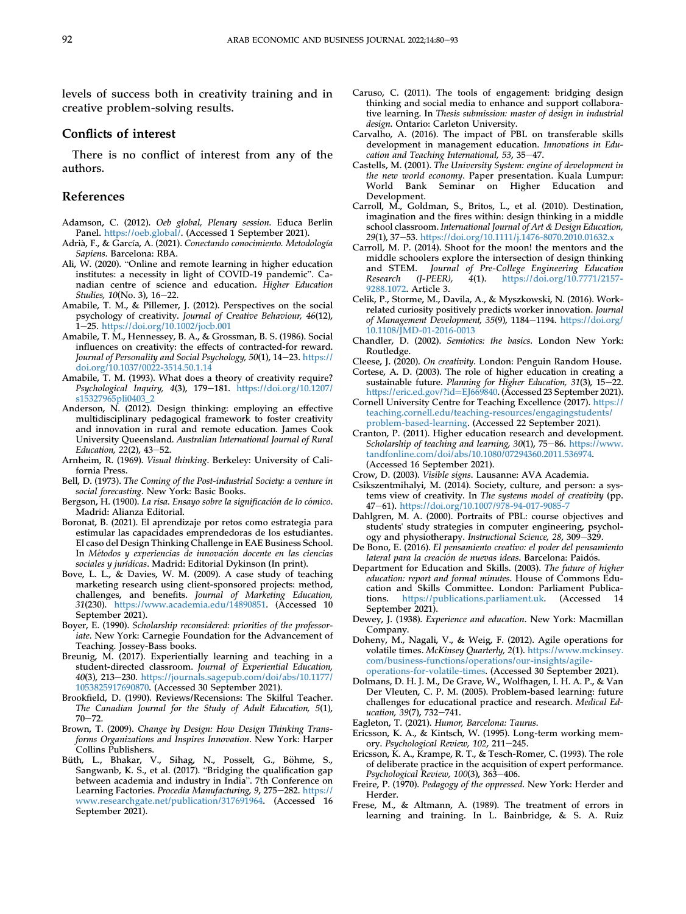levels of success both in creativity training and in creative problem-solving results.

#### Conflicts of interest

There is no conflict of interest from any of the authors.

#### References

- <span id="page-13-17"></span>Adamson, C. (2012). Oeb global, Plenary session. Educa Berlin Panel. <https://oeb.global/>. (Accessed 1 September 2021).
- <span id="page-13-34"></span>Adria, F., & García, A. (2021). Conectando conocimiento. Metodología Sapiens. Barcelona: RBA.
- <span id="page-13-18"></span>Ali, W. (2020). "Online and remote learning in higher education institutes: a necessity in light of COVID-19 pandemic". Canadian centre of science and education. Higher Education Studies, 10(No. 3), 16-22.
- <span id="page-13-2"></span>Amabile, T. M., & Pillemer, J. (2012). Perspectives on the social psychology of creativity. Journal of Creative Behaviour, 46(12), 1-25. <https://doi.org/10.1002/jocb.001>
- <span id="page-13-4"></span>Amabile, T. M., Hennessey, B. A., & Grossman, B. S. (1986). Social influences on creativity: the effects of contracted-for reward. Journal of Personality and Social Psychology, 50(1), 14-23. [https://](https://doi.org/10.1037/0022-3514.50.1.14) [doi.org/10.1037/0022-3514.50.1.14](https://doi.org/10.1037/0022-3514.50.1.14)
- <span id="page-13-3"></span>Amabile, T. M. (1993). What does a theory of creativity require? Psychological Inquiry, 4(3), 179-181. [https://doi.org/10.1207/](https://doi.org/10.1207/s15327965pli0403_2) [s15327965pli0403\\_2](https://doi.org/10.1207/s15327965pli0403_2)
- <span id="page-13-24"></span>Anderson, N. (2012). Design thinking: employing an effective multidisciplinary pedagogical framework to foster creativity and innovation in rural and remote education. James Cook University Queensland. Australian International Journal of Rural Education,  $22(2)$ ,  $43-52$ .
- <span id="page-13-33"></span>Arnheim, R. (1969). Visual thinking. Berkeley: University of California Press.
- <span id="page-13-7"></span>Bell, D. (1973). The Coming of the Post-industrial Society: a venture in social forecasting. New York: Basic Books.
- <span id="page-13-31"></span>Bergson, H. (1900). La risa. Ensayo sobre la significación de lo cómico. Madrid: Alianza Editorial.
- <span id="page-13-28"></span>Boronat, B. (2021). El aprendizaje por retos como estrategia para estimular las capacidades emprendedoras de los estudiantes. El caso del Design Thinking Challenge in EAE Business School. In Métodos y experiencias de innovación docente en las ciencias sociales y jurídicas. Madrid: Editorial Dykinson (In print).
- <span id="page-13-11"></span>Bove, L. L., & Davies, W. M. (2009). A case study of teaching marketing research using client-sponsored projects: method, challenges, and benefits. Journal of Marketing Education, 31(230). [https://www.academia.edu/14890851.](https://www.academia.edu/14890851) (Accessed 10 September 2021).
- <span id="page-13-19"></span>Boyer, E. (1990). Scholarship reconsidered: priorities of the professoriate. New York: Carnegie Foundation for the Advancement of Teaching. Jossey-Bass books.
- <span id="page-13-0"></span>Breunig, M. (2017). Experientially learning and teaching in a student-directed classroom. Journal of Experiential Education, 40(3), 213-230. [https://journals.sagepub.com/doi/abs/10.1177/](https://journals.sagepub.com/doi/abs/10.1177/1053825917690870) [1053825917690870](https://journals.sagepub.com/doi/abs/10.1177/1053825917690870). (Accessed 30 September 2021).
- <span id="page-13-22"></span>Brookfield, D. (1990). Reviews/Recensions: The Skilful Teacher. The Canadian Journal for the Study of Adult Education, 5(1),  $70 - 72.$
- <span id="page-13-23"></span>Brown, T. (2009). Change by Design: How Design Thinking Transforms Organizations and Inspires Innovation. New York: Harper Collins Publishers.
- <span id="page-13-10"></span>Büth, L., Bhakar, V., Sihag, N., Posselt, G., Böhme, S., Sangwanb, K. S., et al. (2017). "Bridging the qualification gap between academia and industry in India". 7th Conference on Learning Factories. Procedia Manufacturing, 9, 275-282. [https://](https://www.researchgate.net/publication/317691964) [www.researchgate.net/publication/317691964](https://www.researchgate.net/publication/317691964). (Accessed 16 September 2021).
- <span id="page-13-25"></span>Caruso, C. (2011). The tools of engagement: bridging design thinking and social media to enhance and support collaborative learning. In Thesis submission: master of design in industrial design. Ontario: Carleton University.
- <span id="page-13-12"></span>Carvalho, A. (2016). The impact of PBL on transferable skills development in management education. Innovations in Education and Teaching International, 53, 35 $-47$ .
- <span id="page-13-8"></span>Castells, M. (2001). The University System: engine of development in the new world economy. Paper presentation. Kuala Lumpur:<br>World Bank Seminar on Higher Education and Seminar on Higher Education and Development.
- <span id="page-13-27"></span>Carroll, M., Goldman, S., Britos, L., et al. (2010). Destination, imagination and the fires within: design thinking in a middle school classroom. International Journal of Art & Design Education, 29(1), 37-53. <https://doi.org/10.1111/j.1476-8070.2010.01632.x>
- <span id="page-13-26"></span>Carroll, M. P. (2014). Shoot for the moon! the mentors and the middle schoolers explore the intersection of design thinking and STEM. Journal of Pre-College Engineering Education Research (J-PEER), 4(1). [https://doi.org/10.7771/2157-](https://doi.org/10.7771/2157-9288.1072) [9288.1072.](https://doi.org/10.7771/2157-9288.1072) Article 3.
- <span id="page-13-38"></span>Celik, P., Storme, M., Davila, A., & Myszkowski, N. (2016). Workrelated curiosity positively predicts worker innovation. Journal of Management Development, 35(9), 1184–1194. [https://doi.org/](https://doi.org/10.1108/JMD-01-2016-0013) [10.1108/JMD-01-2016-0013](https://doi.org/10.1108/JMD-01-2016-0013)
- <span id="page-13-40"></span>Chandler, D. (2002). Semiotics: the basics. London New York: Routledge.
- <span id="page-13-30"></span>Cleese, J. (2020). On creativity. London: Penguin Random House.
- <span id="page-13-6"></span>Cortese, A. D. (2003). The role of higher education in creating a sustainable future. Planning for Higher Education, 31(3), 15-22. [https://eric.ed.gov/?id](https://eric.ed.gov/?id=EJ669840)=[EJ669840](https://eric.ed.gov/?id=EJ669840). (Accessed 23 September 2021).
- <span id="page-13-14"></span>Cornell University Centre for Teaching Excellence (2017). [https://](https://teaching.cornell.edu/teaching-resources/engagingstudents/problem-based-learning) [teaching.cornell.edu/teaching-resources/engagingstudents/](https://teaching.cornell.edu/teaching-resources/engagingstudents/problem-based-learning) [problem-based-learning.](https://teaching.cornell.edu/teaching-resources/engagingstudents/problem-based-learning) (Accessed 22 September 2021).
- <span id="page-13-21"></span>Cranton, P. (2011). Higher education research and development. Scholarship of teaching and learning,  $30(1)$ ,  $75-86$ . [https://www.](https://www.tandfonline.com/doi/abs/10.1080/07294360.2011.536974) [tandfonline.com/doi/abs/10.1080/07294360.2011.536974](https://www.tandfonline.com/doi/abs/10.1080/07294360.2011.536974). (Accessed 16 September 2021).
- <span id="page-13-35"></span>Crow, D. (2003). Visible signs. Lausanne: AVA Academia.
- <span id="page-13-5"></span>Csikszentmihalyi, M. (2014). Society, culture, and person: a systems view of creativity. In The systems model of creativity (pp. 47-61). <https://doi.org/10.1007/978-94-017-9085-7>
- <span id="page-13-15"></span>Dahlgren, M. A. (2000). Portraits of PBL: course objectives and students' study strategies in computer engineering, psychology and physiotherapy. Instructional Science, 28, 309-329.
- <span id="page-13-29"></span>De Bono, E. (2016). El pensamiento creativo: el poder del pensamiento lateral para la creación de nuevas ideas. Barcelona: Paidós.
- <span id="page-13-9"></span>Department for Education and Skills. (2003). The future of higher education: report and formal minutes. House of Commons Education and Skills Committee. London: Parliament Publications. <https://publications.parliament.uk>. (Accessed 14 September 2021).
- <span id="page-13-1"></span>Dewey, J. (1938). Experience and education. New York: Macmillan Company.
- <span id="page-13-16"></span>Doheny, M., Nagali, V., & Weig, F. (2012). Agile operations for volatile times. McKinsey Quarterly, 2(1). [https://www.mckinsey.](https://www.mckinsey.com/business-functions/operations/our-insights/agile-operations-for-volatile-times) [com/business-functions/operations/our-insights/agile](https://www.mckinsey.com/business-functions/operations/our-insights/agile-operations-for-volatile-times)[operations-for-volatile-times](https://www.mckinsey.com/business-functions/operations/our-insights/agile-operations-for-volatile-times). (Accessed 30 September 2021).
- <span id="page-13-13"></span>Dolmans, D. H. J. M., De Grave, W., Wolfhagen, I. H. A. P., & Van Der Vleuten, C. P. M. (2005). Problem-based learning: future challenges for educational practice and research. Medical Education, 39(7), 732-741.
- <span id="page-13-32"></span>Eagleton, T. (2021). Humor, Barcelona: Taurus.
- <span id="page-13-37"></span>Ericsson, K. A., & Kintsch, W. (1995). Long-term working memory. Psychological Review, 102, 211-245.
- <span id="page-13-39"></span>Ericsson, K. A., Krampe, R. T., & Tesch-Romer, C. (1993). The role of deliberate practice in the acquisition of expert performance. Psychological Review, 100(3), 363-406.
- <span id="page-13-20"></span>Freire, P. (1970). Pedagogy of the oppressed. New York: Herder and Herder.
- <span id="page-13-36"></span>Frese, M., & Altmann, A. (1989). The treatment of errors in learning and training. In L. Bainbridge, & S. A. Ruiz